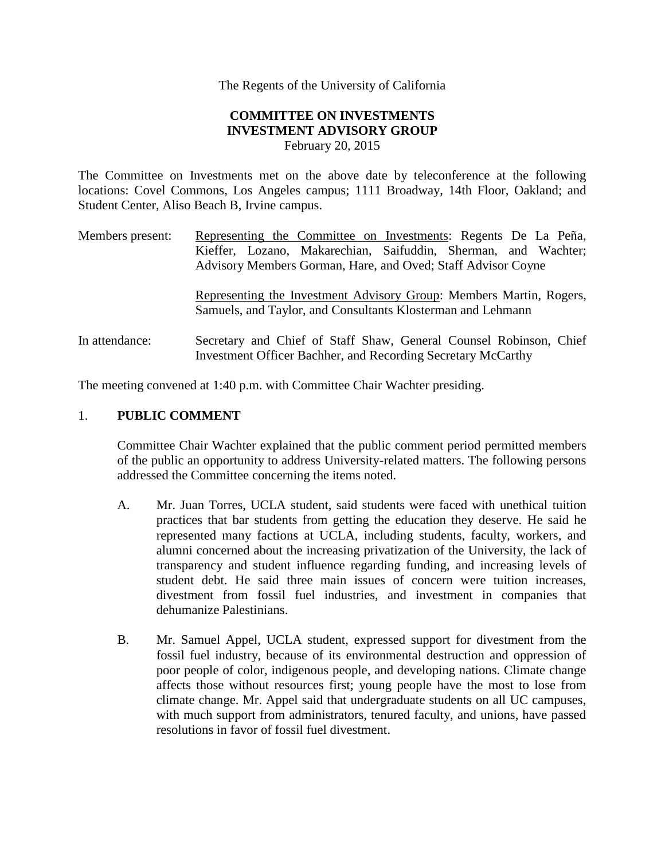The Regents of the University of California

## **COMMITTEE ON INVESTMENTS INVESTMENT ADVISORY GROUP**  February 20, 2015

The Committee on Investments met on the above date by teleconference at the following locations: Covel Commons, Los Angeles campus; 1111 Broadway, 14th Floor, Oakland; and Student Center, Aliso Beach B, Irvine campus.

Members present: Representing the Committee on Investments: Regents De La Peña, Kieffer, Lozano, Makarechian, Saifuddin, Sherman, and Wachter; Advisory Members Gorman, Hare, and Oved; Staff Advisor Coyne

> Representing the Investment Advisory Group: Members Martin, Rogers, Samuels, and Taylor, and Consultants Klosterman and Lehmann

In attendance: Secretary and Chief of Staff Shaw, General Counsel Robinson, Chief Investment Officer Bachher, and Recording Secretary McCarthy

The meeting convened at 1:40 p.m. with Committee Chair Wachter presiding.

### 1. **PUBLIC COMMENT**

Committee Chair Wachter explained that the public comment period permitted members of the public an opportunity to address University-related matters. The following persons addressed the Committee concerning the items noted.

- A. Mr. Juan Torres, UCLA student, said students were faced with unethical tuition practices that bar students from getting the education they deserve. He said he represented many factions at UCLA, including students, faculty, workers, and alumni concerned about the increasing privatization of the University, the lack of transparency and student influence regarding funding, and increasing levels of student debt. He said three main issues of concern were tuition increases, divestment from fossil fuel industries, and investment in companies that dehumanize Palestinians.
- B. Mr. Samuel Appel, UCLA student, expressed support for divestment from the fossil fuel industry, because of its environmental destruction and oppression of poor people of color, indigenous people, and developing nations. Climate change affects those without resources first; young people have the most to lose from climate change. Mr. Appel said that undergraduate students on all UC campuses, with much support from administrators, tenured faculty, and unions, have passed resolutions in favor of fossil fuel divestment.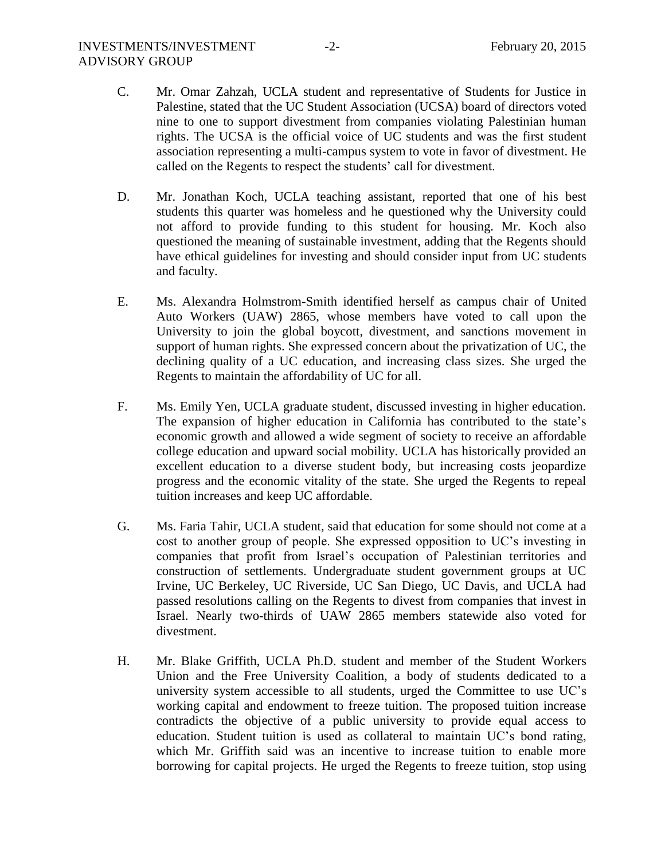- C. Mr. Omar Zahzah, UCLA student and representative of Students for Justice in Palestine, stated that the UC Student Association (UCSA) board of directors voted nine to one to support divestment from companies violating Palestinian human rights. The UCSA is the official voice of UC students and was the first student association representing a multi-campus system to vote in favor of divestment. He called on the Regents to respect the students' call for divestment.
- D. Mr. Jonathan Koch, UCLA teaching assistant, reported that one of his best students this quarter was homeless and he questioned why the University could not afford to provide funding to this student for housing. Mr. Koch also questioned the meaning of sustainable investment, adding that the Regents should have ethical guidelines for investing and should consider input from UC students and faculty.
- E. Ms. Alexandra Holmstrom-Smith identified herself as campus chair of United Auto Workers (UAW) 2865, whose members have voted to call upon the University to join the global boycott, divestment, and sanctions movement in support of human rights. She expressed concern about the privatization of UC, the declining quality of a UC education, and increasing class sizes. She urged the Regents to maintain the affordability of UC for all.
- F. Ms. Emily Yen, UCLA graduate student, discussed investing in higher education. The expansion of higher education in California has contributed to the state's economic growth and allowed a wide segment of society to receive an affordable college education and upward social mobility. UCLA has historically provided an excellent education to a diverse student body, but increasing costs jeopardize progress and the economic vitality of the state. She urged the Regents to repeal tuition increases and keep UC affordable.
- G. Ms. Faria Tahir, UCLA student, said that education for some should not come at a cost to another group of people. She expressed opposition to UC's investing in companies that profit from Israel's occupation of Palestinian territories and construction of settlements. Undergraduate student government groups at UC Irvine, UC Berkeley, UC Riverside, UC San Diego, UC Davis, and UCLA had passed resolutions calling on the Regents to divest from companies that invest in Israel. Nearly two-thirds of UAW 2865 members statewide also voted for divestment.
- H. Mr. Blake Griffith, UCLA Ph.D. student and member of the Student Workers Union and the Free University Coalition, a body of students dedicated to a university system accessible to all students, urged the Committee to use UC's working capital and endowment to freeze tuition. The proposed tuition increase contradicts the objective of a public university to provide equal access to education. Student tuition is used as collateral to maintain UC's bond rating, which Mr. Griffith said was an incentive to increase tuition to enable more borrowing for capital projects. He urged the Regents to freeze tuition, stop using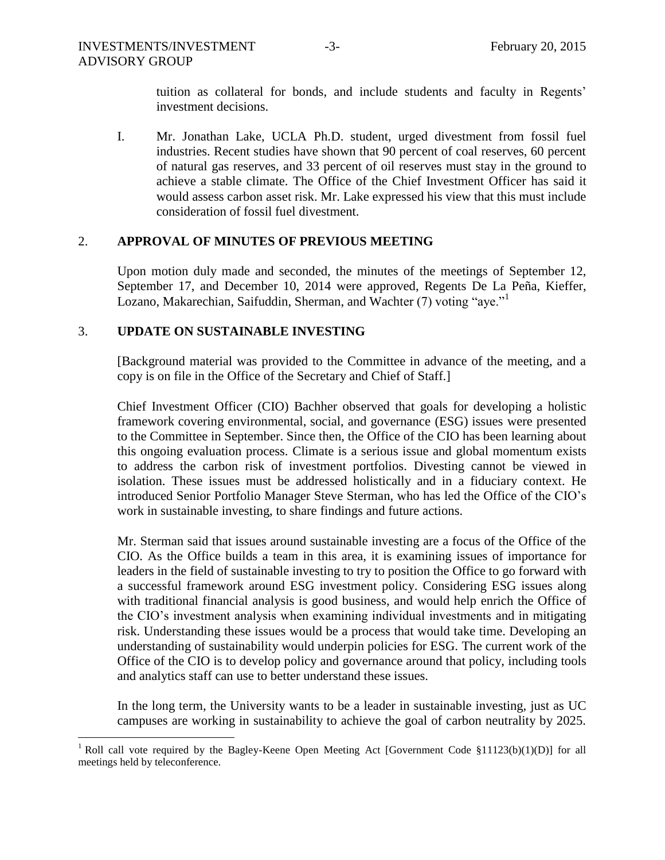tuition as collateral for bonds, and include students and faculty in Regents' investment decisions.

I. Mr. Jonathan Lake, UCLA Ph.D. student, urged divestment from fossil fuel industries. Recent studies have shown that 90 percent of coal reserves, 60 percent of natural gas reserves, and 33 percent of oil reserves must stay in the ground to achieve a stable climate. The Office of the Chief Investment Officer has said it would assess carbon asset risk. Mr. Lake expressed his view that this must include consideration of fossil fuel divestment.

### 2. **APPROVAL OF MINUTES OF PREVIOUS MEETING**

Upon motion duly made and seconded, the minutes of the meetings of September 12, September 17, and December 10, 2014 were approved, Regents De La Peña, Kieffer, Lozano, Makarechian, Saifuddin, Sherman, and Wachter (7) voting "aye."<sup>1</sup>

## 3. **UPDATE ON SUSTAINABLE INVESTING**

[Background material was provided to the Committee in advance of the meeting, and a copy is on file in the Office of the Secretary and Chief of Staff.]

Chief Investment Officer (CIO) Bachher observed that goals for developing a holistic framework covering environmental, social, and governance (ESG) issues were presented to the Committee in September. Since then, the Office of the CIO has been learning about this ongoing evaluation process. Climate is a serious issue and global momentum exists to address the carbon risk of investment portfolios. Divesting cannot be viewed in isolation. These issues must be addressed holistically and in a fiduciary context. He introduced Senior Portfolio Manager Steve Sterman, who has led the Office of the CIO's work in sustainable investing, to share findings and future actions.

Mr. Sterman said that issues around sustainable investing are a focus of the Office of the CIO. As the Office builds a team in this area, it is examining issues of importance for leaders in the field of sustainable investing to try to position the Office to go forward with a successful framework around ESG investment policy. Considering ESG issues along with traditional financial analysis is good business, and would help enrich the Office of the CIO's investment analysis when examining individual investments and in mitigating risk. Understanding these issues would be a process that would take time. Developing an understanding of sustainability would underpin policies for ESG. The current work of the Office of the CIO is to develop policy and governance around that policy, including tools and analytics staff can use to better understand these issues.

In the long term, the University wants to be a leader in sustainable investing, just as UC campuses are working in sustainability to achieve the goal of carbon neutrality by 2025.

 $\overline{a}$ <sup>1</sup> Roll call vote required by the Bagley-Keene Open Meeting Act [Government Code  $\S 11123(b)(1)(D)$ ] for all meetings held by teleconference.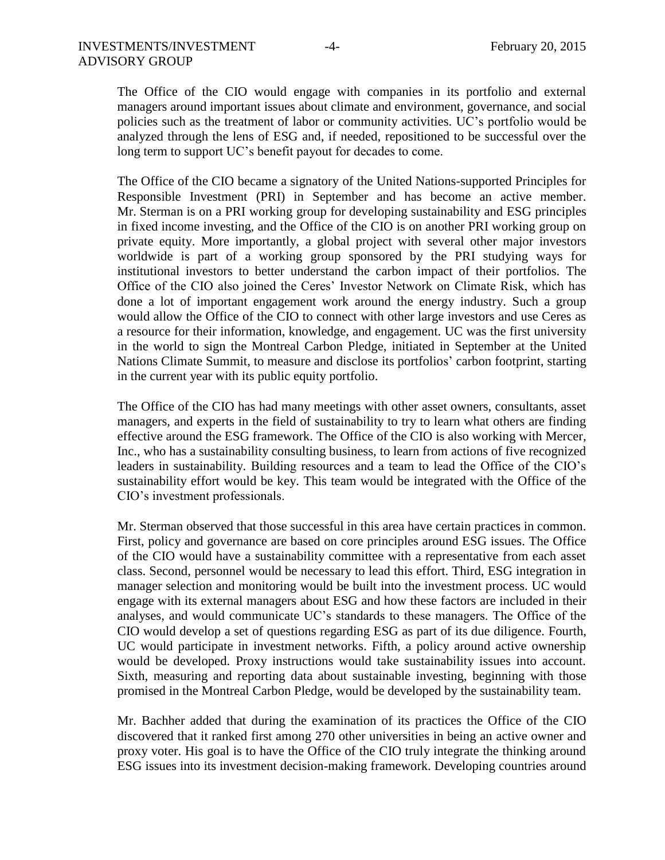The Office of the CIO would engage with companies in its portfolio and external managers around important issues about climate and environment, governance, and social policies such as the treatment of labor or community activities. UC's portfolio would be analyzed through the lens of ESG and, if needed, repositioned to be successful over the long term to support UC's benefit payout for decades to come.

The Office of the CIO became a signatory of the United Nations-supported Principles for Responsible Investment (PRI) in September and has become an active member. Mr. Sterman is on a PRI working group for developing sustainability and ESG principles in fixed income investing, and the Office of the CIO is on another PRI working group on private equity. More importantly, a global project with several other major investors worldwide is part of a working group sponsored by the PRI studying ways for institutional investors to better understand the carbon impact of their portfolios. The Office of the CIO also joined the Ceres' Investor Network on Climate Risk, which has done a lot of important engagement work around the energy industry. Such a group would allow the Office of the CIO to connect with other large investors and use Ceres as a resource for their information, knowledge, and engagement. UC was the first university in the world to sign the Montreal Carbon Pledge, initiated in September at the United Nations Climate Summit, to measure and disclose its portfolios' carbon footprint, starting in the current year with its public equity portfolio.

The Office of the CIO has had many meetings with other asset owners, consultants, asset managers, and experts in the field of sustainability to try to learn what others are finding effective around the ESG framework. The Office of the CIO is also working with Mercer, Inc., who has a sustainability consulting business, to learn from actions of five recognized leaders in sustainability. Building resources and a team to lead the Office of the CIO's sustainability effort would be key. This team would be integrated with the Office of the CIO's investment professionals.

Mr. Sterman observed that those successful in this area have certain practices in common. First, policy and governance are based on core principles around ESG issues. The Office of the CIO would have a sustainability committee with a representative from each asset class. Second, personnel would be necessary to lead this effort. Third, ESG integration in manager selection and monitoring would be built into the investment process. UC would engage with its external managers about ESG and how these factors are included in their analyses, and would communicate UC's standards to these managers. The Office of the CIO would develop a set of questions regarding ESG as part of its due diligence. Fourth, UC would participate in investment networks. Fifth, a policy around active ownership would be developed. Proxy instructions would take sustainability issues into account. Sixth, measuring and reporting data about sustainable investing, beginning with those promised in the Montreal Carbon Pledge, would be developed by the sustainability team.

Mr. Bachher added that during the examination of its practices the Office of the CIO discovered that it ranked first among 270 other universities in being an active owner and proxy voter. His goal is to have the Office of the CIO truly integrate the thinking around ESG issues into its investment decision-making framework. Developing countries around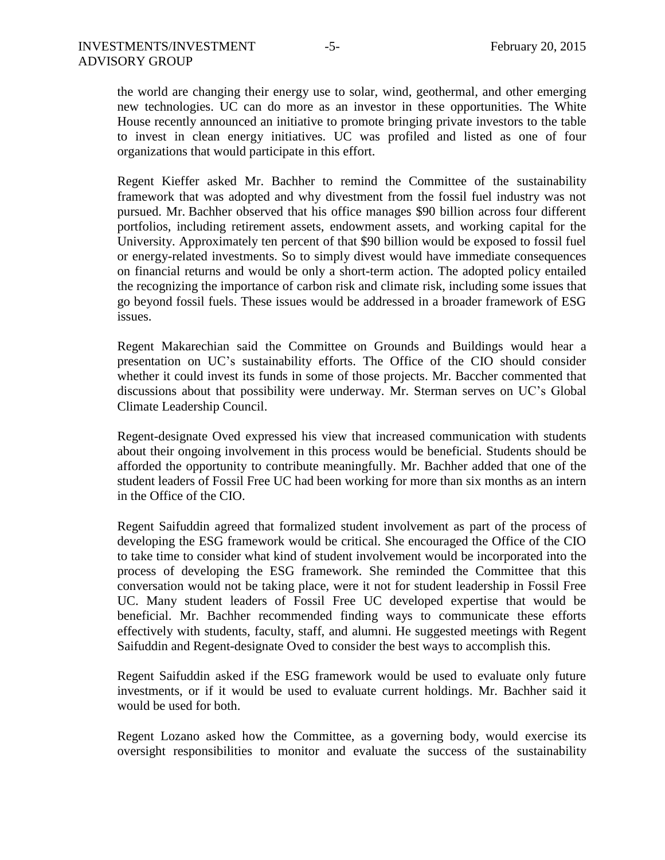the world are changing their energy use to solar, wind, geothermal, and other emerging new technologies. UC can do more as an investor in these opportunities. The White House recently announced an initiative to promote bringing private investors to the table to invest in clean energy initiatives. UC was profiled and listed as one of four organizations that would participate in this effort.

Regent Kieffer asked Mr. Bachher to remind the Committee of the sustainability framework that was adopted and why divestment from the fossil fuel industry was not pursued. Mr. Bachher observed that his office manages \$90 billion across four different portfolios, including retirement assets, endowment assets, and working capital for the University. Approximately ten percent of that \$90 billion would be exposed to fossil fuel or energy-related investments. So to simply divest would have immediate consequences on financial returns and would be only a short-term action. The adopted policy entailed the recognizing the importance of carbon risk and climate risk, including some issues that go beyond fossil fuels. These issues would be addressed in a broader framework of ESG issues.

Regent Makarechian said the Committee on Grounds and Buildings would hear a presentation on UC's sustainability efforts. The Office of the CIO should consider whether it could invest its funds in some of those projects. Mr. Baccher commented that discussions about that possibility were underway. Mr. Sterman serves on UC's Global Climate Leadership Council.

Regent-designate Oved expressed his view that increased communication with students about their ongoing involvement in this process would be beneficial. Students should be afforded the opportunity to contribute meaningfully. Mr. Bachher added that one of the student leaders of Fossil Free UC had been working for more than six months as an intern in the Office of the CIO.

Regent Saifuddin agreed that formalized student involvement as part of the process of developing the ESG framework would be critical. She encouraged the Office of the CIO to take time to consider what kind of student involvement would be incorporated into the process of developing the ESG framework. She reminded the Committee that this conversation would not be taking place, were it not for student leadership in Fossil Free UC. Many student leaders of Fossil Free UC developed expertise that would be beneficial. Mr. Bachher recommended finding ways to communicate these efforts effectively with students, faculty, staff, and alumni. He suggested meetings with Regent Saifuddin and Regent-designate Oved to consider the best ways to accomplish this.

Regent Saifuddin asked if the ESG framework would be used to evaluate only future investments, or if it would be used to evaluate current holdings. Mr. Bachher said it would be used for both.

Regent Lozano asked how the Committee, as a governing body, would exercise its oversight responsibilities to monitor and evaluate the success of the sustainability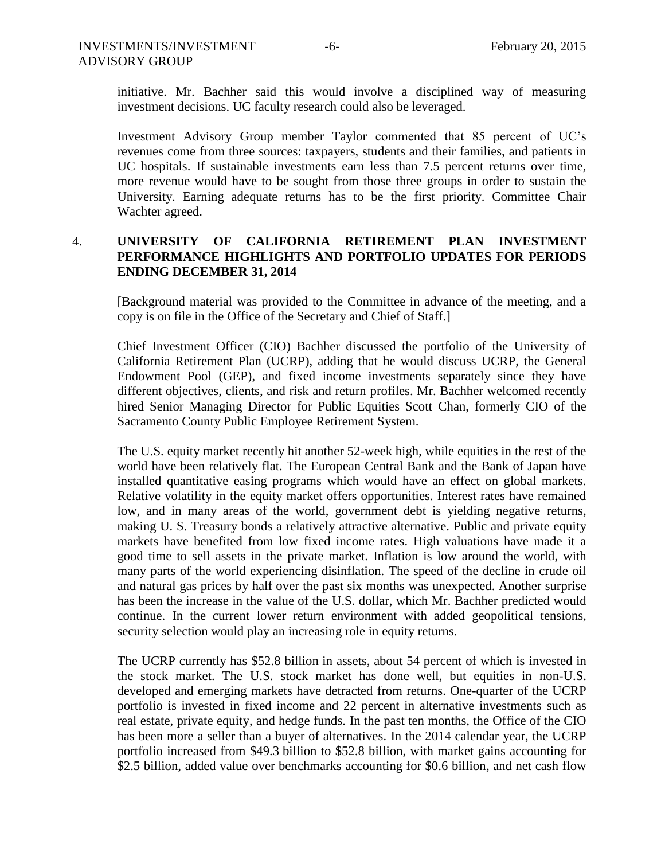initiative. Mr. Bachher said this would involve a disciplined way of measuring investment decisions. UC faculty research could also be leveraged.

Investment Advisory Group member Taylor commented that 85 percent of UC's revenues come from three sources: taxpayers, students and their families, and patients in UC hospitals. If sustainable investments earn less than 7.5 percent returns over time, more revenue would have to be sought from those three groups in order to sustain the University. Earning adequate returns has to be the first priority. Committee Chair Wachter agreed.

## 4. **UNIVERSITY OF CALIFORNIA RETIREMENT PLAN INVESTMENT PERFORMANCE HIGHLIGHTS AND PORTFOLIO UPDATES FOR PERIODS ENDING DECEMBER 31, 2014**

[Background material was provided to the Committee in advance of the meeting, and a copy is on file in the Office of the Secretary and Chief of Staff.]

 Chief Investment Officer (CIO) Bachher discussed the portfolio of the University of California Retirement Plan (UCRP), adding that he would discuss UCRP, the General Endowment Pool (GEP), and fixed income investments separately since they have different objectives, clients, and risk and return profiles. Mr. Bachher welcomed recently hired Senior Managing Director for Public Equities Scott Chan, formerly CIO of the Sacramento County Public Employee Retirement System.

 The U.S. equity market recently hit another 52-week high, while equities in the rest of the world have been relatively flat. The European Central Bank and the Bank of Japan have installed quantitative easing programs which would have an effect on global markets. Relative volatility in the equity market offers opportunities. Interest rates have remained low, and in many areas of the world, government debt is yielding negative returns, making U. S. Treasury bonds a relatively attractive alternative. Public and private equity markets have benefited from low fixed income rates. High valuations have made it a good time to sell assets in the private market. Inflation is low around the world, with many parts of the world experiencing disinflation. The speed of the decline in crude oil and natural gas prices by half over the past six months was unexpected. Another surprise has been the increase in the value of the U.S. dollar, which Mr. Bachher predicted would continue. In the current lower return environment with added geopolitical tensions, security selection would play an increasing role in equity returns.

 The UCRP currently has \$52.8 billion in assets, about 54 percent of which is invested in the stock market. The U.S. stock market has done well, but equities in non-U.S. developed and emerging markets have detracted from returns. One-quarter of the UCRP portfolio is invested in fixed income and 22 percent in alternative investments such as real estate, private equity, and hedge funds. In the past ten months, the Office of the CIO has been more a seller than a buyer of alternatives. In the 2014 calendar year, the UCRP portfolio increased from \$49.3 billion to \$52.8 billion, with market gains accounting for \$2.5 billion, added value over benchmarks accounting for \$0.6 billion, and net cash flow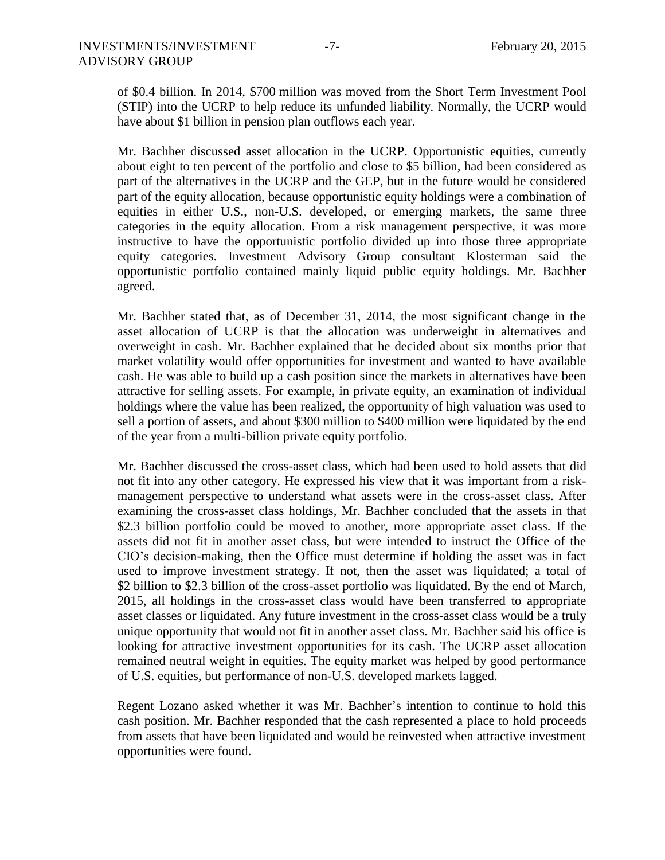of \$0.4 billion. In 2014, \$700 million was moved from the Short Term Investment Pool (STIP) into the UCRP to help reduce its unfunded liability. Normally, the UCRP would have about \$1 billion in pension plan outflows each year.

 Mr. Bachher discussed asset allocation in the UCRP. Opportunistic equities, currently about eight to ten percent of the portfolio and close to \$5 billion, had been considered as part of the alternatives in the UCRP and the GEP, but in the future would be considered part of the equity allocation, because opportunistic equity holdings were a combination of equities in either U.S., non-U.S. developed, or emerging markets, the same three categories in the equity allocation. From a risk management perspective, it was more instructive to have the opportunistic portfolio divided up into those three appropriate equity categories. Investment Advisory Group consultant Klosterman said the opportunistic portfolio contained mainly liquid public equity holdings. Mr. Bachher agreed.

 Mr. Bachher stated that, as of December 31, 2014, the most significant change in the asset allocation of UCRP is that the allocation was underweight in alternatives and overweight in cash. Mr. Bachher explained that he decided about six months prior that market volatility would offer opportunities for investment and wanted to have available cash. He was able to build up a cash position since the markets in alternatives have been attractive for selling assets. For example, in private equity, an examination of individual holdings where the value has been realized, the opportunity of high valuation was used to sell a portion of assets, and about \$300 million to \$400 million were liquidated by the end of the year from a multi-billion private equity portfolio.

 Mr. Bachher discussed the cross-asset class, which had been used to hold assets that did not fit into any other category. He expressed his view that it was important from a riskmanagement perspective to understand what assets were in the cross-asset class. After examining the cross-asset class holdings, Mr. Bachher concluded that the assets in that \$2.3 billion portfolio could be moved to another, more appropriate asset class. If the assets did not fit in another asset class, but were intended to instruct the Office of the CIO's decision-making, then the Office must determine if holding the asset was in fact used to improve investment strategy. If not, then the asset was liquidated; a total of \$2 billion to \$2.3 billion of the cross-asset portfolio was liquidated. By the end of March, 2015, all holdings in the cross-asset class would have been transferred to appropriate asset classes or liquidated. Any future investment in the cross-asset class would be a truly unique opportunity that would not fit in another asset class. Mr. Bachher said his office is looking for attractive investment opportunities for its cash. The UCRP asset allocation remained neutral weight in equities. The equity market was helped by good performance of U.S. equities, but performance of non-U.S. developed markets lagged.

 Regent Lozano asked whether it was Mr. Bachher's intention to continue to hold this cash position. Mr. Bachher responded that the cash represented a place to hold proceeds from assets that have been liquidated and would be reinvested when attractive investment opportunities were found.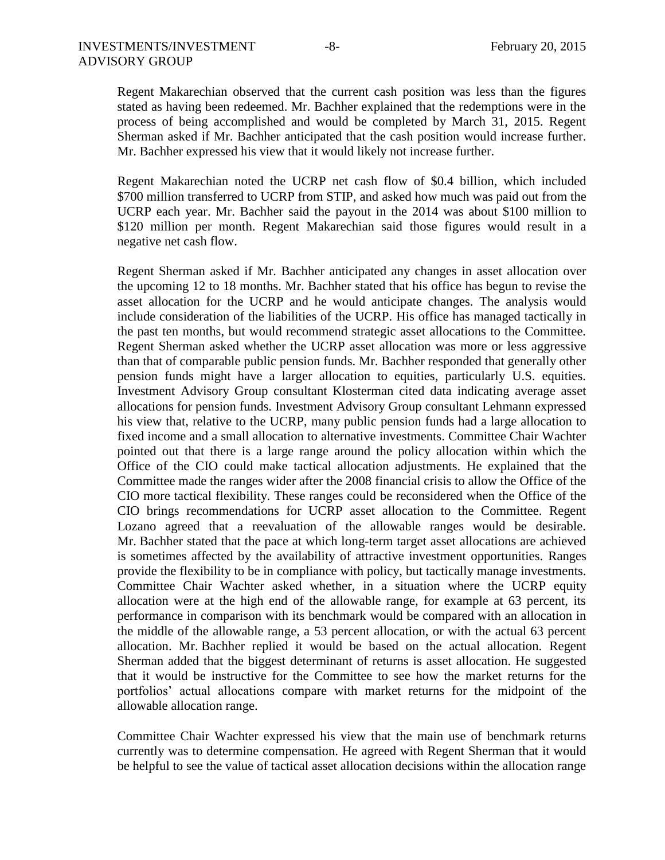Regent Makarechian observed that the current cash position was less than the figures stated as having been redeemed. Mr. Bachher explained that the redemptions were in the process of being accomplished and would be completed by March 31, 2015. Regent Sherman asked if Mr. Bachher anticipated that the cash position would increase further. Mr. Bachher expressed his view that it would likely not increase further.

Regent Makarechian noted the UCRP net cash flow of \$0.4 billion, which included \$700 million transferred to UCRP from STIP, and asked how much was paid out from the UCRP each year. Mr. Bachher said the payout in the 2014 was about \$100 million to \$120 million per month. Regent Makarechian said those figures would result in a negative net cash flow.

Regent Sherman asked if Mr. Bachher anticipated any changes in asset allocation over the upcoming 12 to 18 months. Mr. Bachher stated that his office has begun to revise the asset allocation for the UCRP and he would anticipate changes. The analysis would include consideration of the liabilities of the UCRP. His office has managed tactically in the past ten months, but would recommend strategic asset allocations to the Committee. Regent Sherman asked whether the UCRP asset allocation was more or less aggressive than that of comparable public pension funds. Mr. Bachher responded that generally other pension funds might have a larger allocation to equities, particularly U.S. equities. Investment Advisory Group consultant Klosterman cited data indicating average asset allocations for pension funds. Investment Advisory Group consultant Lehmann expressed his view that, relative to the UCRP, many public pension funds had a large allocation to fixed income and a small allocation to alternative investments. Committee Chair Wachter pointed out that there is a large range around the policy allocation within which the Office of the CIO could make tactical allocation adjustments. He explained that the Committee made the ranges wider after the 2008 financial crisis to allow the Office of the CIO more tactical flexibility. These ranges could be reconsidered when the Office of the CIO brings recommendations for UCRP asset allocation to the Committee. Regent Lozano agreed that a reevaluation of the allowable ranges would be desirable. Mr. Bachher stated that the pace at which long-term target asset allocations are achieved is sometimes affected by the availability of attractive investment opportunities. Ranges provide the flexibility to be in compliance with policy, but tactically manage investments. Committee Chair Wachter asked whether, in a situation where the UCRP equity allocation were at the high end of the allowable range, for example at 63 percent, its performance in comparison with its benchmark would be compared with an allocation in the middle of the allowable range, a 53 percent allocation, or with the actual 63 percent allocation. Mr. Bachher replied it would be based on the actual allocation. Regent Sherman added that the biggest determinant of returns is asset allocation. He suggested that it would be instructive for the Committee to see how the market returns for the portfolios' actual allocations compare with market returns for the midpoint of the allowable allocation range.

Committee Chair Wachter expressed his view that the main use of benchmark returns currently was to determine compensation. He agreed with Regent Sherman that it would be helpful to see the value of tactical asset allocation decisions within the allocation range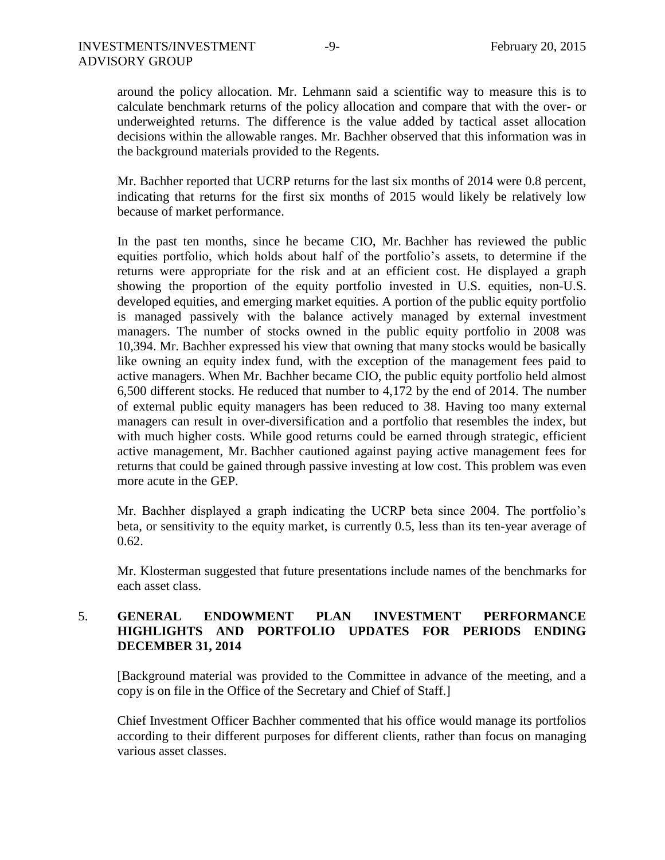around the policy allocation. Mr. Lehmann said a scientific way to measure this is to calculate benchmark returns of the policy allocation and compare that with the over- or underweighted returns. The difference is the value added by tactical asset allocation decisions within the allowable ranges. Mr. Bachher observed that this information was in the background materials provided to the Regents.

Mr. Bachher reported that UCRP returns for the last six months of 2014 were 0.8 percent, indicating that returns for the first six months of 2015 would likely be relatively low because of market performance.

In the past ten months, since he became CIO, Mr. Bachher has reviewed the public equities portfolio, which holds about half of the portfolio's assets, to determine if the returns were appropriate for the risk and at an efficient cost. He displayed a graph showing the proportion of the equity portfolio invested in U.S. equities, non-U.S. developed equities, and emerging market equities. A portion of the public equity portfolio is managed passively with the balance actively managed by external investment managers. The number of stocks owned in the public equity portfolio in 2008 was 10,394. Mr. Bachher expressed his view that owning that many stocks would be basically like owning an equity index fund, with the exception of the management fees paid to active managers. When Mr. Bachher became CIO, the public equity portfolio held almost 6,500 different stocks. He reduced that number to 4,172 by the end of 2014. The number of external public equity managers has been reduced to 38. Having too many external managers can result in over-diversification and a portfolio that resembles the index, but with much higher costs. While good returns could be earned through strategic, efficient active management, Mr. Bachher cautioned against paying active management fees for returns that could be gained through passive investing at low cost. This problem was even more acute in the GEP.

Mr. Bachher displayed a graph indicating the UCRP beta since 2004. The portfolio's beta, or sensitivity to the equity market, is currently 0.5, less than its ten-year average of 0.62.

Mr. Klosterman suggested that future presentations include names of the benchmarks for each asset class.

## 5. **GENERAL ENDOWMENT PLAN INVESTMENT PERFORMANCE HIGHLIGHTS AND PORTFOLIO UPDATES FOR PERIODS ENDING DECEMBER 31, 2014**

[Background material was provided to the Committee in advance of the meeting, and a copy is on file in the Office of the Secretary and Chief of Staff.]

Chief Investment Officer Bachher commented that his office would manage its portfolios according to their different purposes for different clients, rather than focus on managing various asset classes.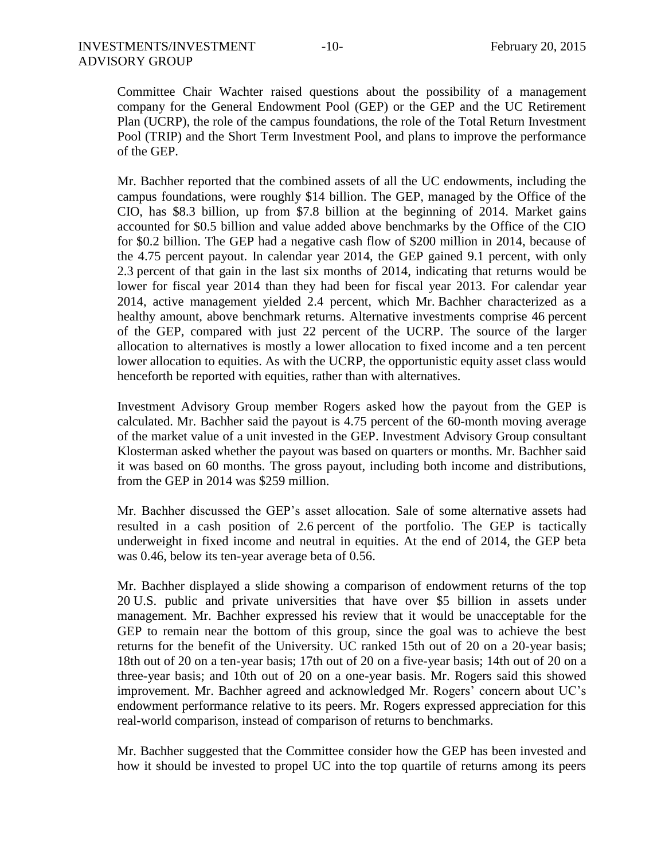Committee Chair Wachter raised questions about the possibility of a management company for the General Endowment Pool (GEP) or the GEP and the UC Retirement Plan (UCRP), the role of the campus foundations, the role of the Total Return Investment Pool (TRIP) and the Short Term Investment Pool, and plans to improve the performance of the GEP.

Mr. Bachher reported that the combined assets of all the UC endowments, including the campus foundations, were roughly \$14 billion. The GEP, managed by the Office of the CIO, has \$8.3 billion, up from \$7.8 billion at the beginning of 2014. Market gains accounted for \$0.5 billion and value added above benchmarks by the Office of the CIO for \$0.2 billion. The GEP had a negative cash flow of \$200 million in 2014, because of the 4.75 percent payout. In calendar year 2014, the GEP gained 9.1 percent, with only 2.3 percent of that gain in the last six months of 2014, indicating that returns would be lower for fiscal year 2014 than they had been for fiscal year 2013. For calendar year 2014, active management yielded 2.4 percent, which Mr. Bachher characterized as a healthy amount, above benchmark returns. Alternative investments comprise 46 percent of the GEP, compared with just 22 percent of the UCRP. The source of the larger allocation to alternatives is mostly a lower allocation to fixed income and a ten percent lower allocation to equities. As with the UCRP, the opportunistic equity asset class would henceforth be reported with equities, rather than with alternatives.

Investment Advisory Group member Rogers asked how the payout from the GEP is calculated. Mr. Bachher said the payout is 4.75 percent of the 60-month moving average of the market value of a unit invested in the GEP. Investment Advisory Group consultant Klosterman asked whether the payout was based on quarters or months. Mr. Bachher said it was based on 60 months. The gross payout, including both income and distributions, from the GEP in 2014 was \$259 million.

Mr. Bachher discussed the GEP's asset allocation. Sale of some alternative assets had resulted in a cash position of 2.6 percent of the portfolio. The GEP is tactically underweight in fixed income and neutral in equities. At the end of 2014, the GEP beta was 0.46, below its ten-year average beta of 0.56.

Mr. Bachher displayed a slide showing a comparison of endowment returns of the top 20 U.S. public and private universities that have over \$5 billion in assets under management. Mr. Bachher expressed his review that it would be unacceptable for the GEP to remain near the bottom of this group, since the goal was to achieve the best returns for the benefit of the University. UC ranked 15th out of 20 on a 20-year basis; 18th out of 20 on a ten-year basis; 17th out of 20 on a five-year basis; 14th out of 20 on a three-year basis; and 10th out of 20 on a one-year basis. Mr. Rogers said this showed improvement. Mr. Bachher agreed and acknowledged Mr. Rogers' concern about UC's endowment performance relative to its peers. Mr. Rogers expressed appreciation for this real-world comparison, instead of comparison of returns to benchmarks.

Mr. Bachher suggested that the Committee consider how the GEP has been invested and how it should be invested to propel UC into the top quartile of returns among its peers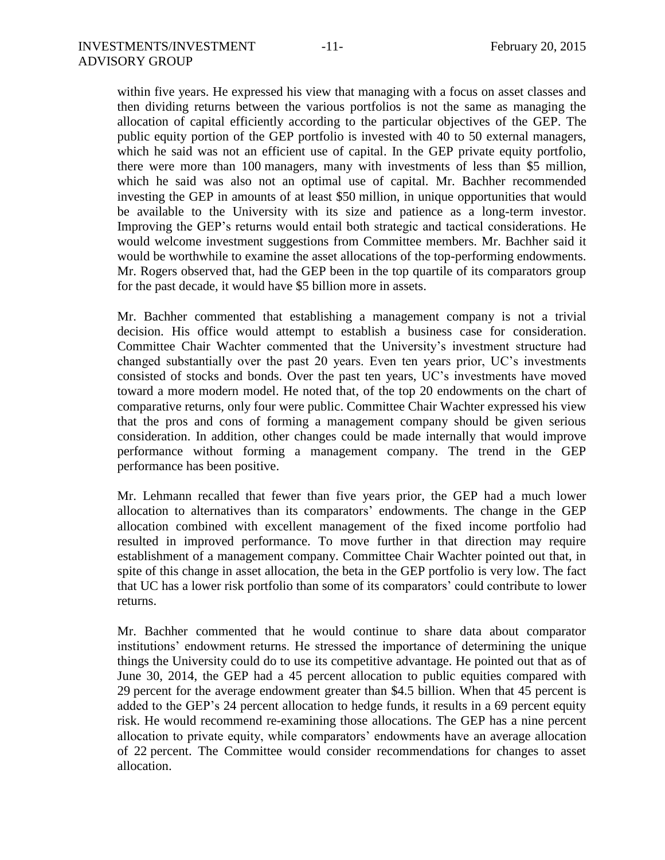within five years. He expressed his view that managing with a focus on asset classes and then dividing returns between the various portfolios is not the same as managing the allocation of capital efficiently according to the particular objectives of the GEP. The public equity portion of the GEP portfolio is invested with 40 to 50 external managers, which he said was not an efficient use of capital. In the GEP private equity portfolio, there were more than 100 managers, many with investments of less than \$5 million, which he said was also not an optimal use of capital. Mr. Bachher recommended investing the GEP in amounts of at least \$50 million, in unique opportunities that would be available to the University with its size and patience as a long-term investor. Improving the GEP's returns would entail both strategic and tactical considerations. He would welcome investment suggestions from Committee members. Mr. Bachher said it would be worthwhile to examine the asset allocations of the top-performing endowments. Mr. Rogers observed that, had the GEP been in the top quartile of its comparators group for the past decade, it would have \$5 billion more in assets.

Mr. Bachher commented that establishing a management company is not a trivial decision. His office would attempt to establish a business case for consideration. Committee Chair Wachter commented that the University's investment structure had changed substantially over the past 20 years. Even ten years prior, UC's investments consisted of stocks and bonds. Over the past ten years, UC's investments have moved toward a more modern model. He noted that, of the top 20 endowments on the chart of comparative returns, only four were public. Committee Chair Wachter expressed his view that the pros and cons of forming a management company should be given serious consideration. In addition, other changes could be made internally that would improve performance without forming a management company. The trend in the GEP performance has been positive.

Mr. Lehmann recalled that fewer than five years prior, the GEP had a much lower allocation to alternatives than its comparators' endowments. The change in the GEP allocation combined with excellent management of the fixed income portfolio had resulted in improved performance. To move further in that direction may require establishment of a management company. Committee Chair Wachter pointed out that, in spite of this change in asset allocation, the beta in the GEP portfolio is very low. The fact that UC has a lower risk portfolio than some of its comparators' could contribute to lower returns.

Mr. Bachher commented that he would continue to share data about comparator institutions' endowment returns. He stressed the importance of determining the unique things the University could do to use its competitive advantage. He pointed out that as of June 30, 2014, the GEP had a 45 percent allocation to public equities compared with 29 percent for the average endowment greater than \$4.5 billion. When that 45 percent is added to the GEP's 24 percent allocation to hedge funds, it results in a 69 percent equity risk. He would recommend re-examining those allocations. The GEP has a nine percent allocation to private equity, while comparators' endowments have an average allocation of 22 percent. The Committee would consider recommendations for changes to asset allocation.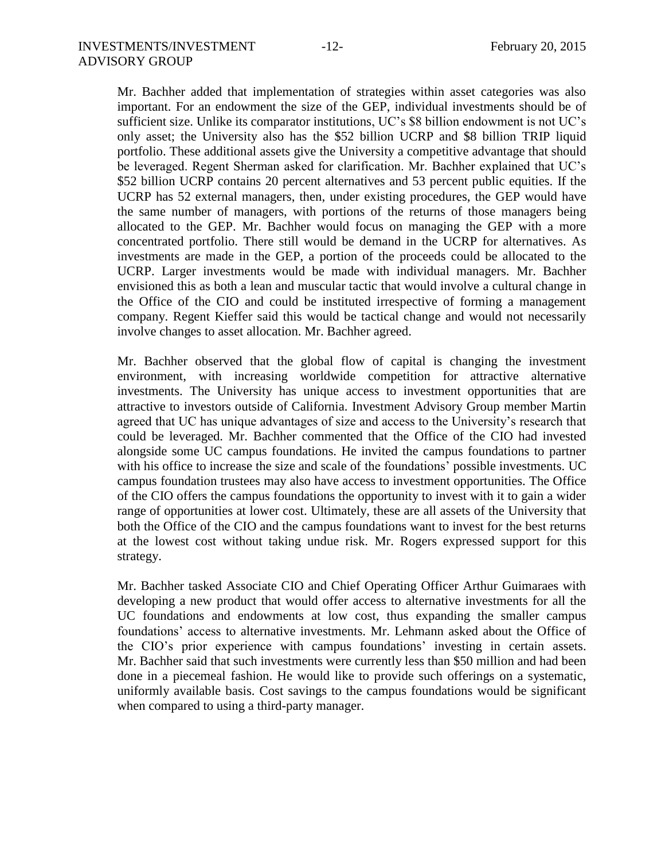Mr. Bachher added that implementation of strategies within asset categories was also important. For an endowment the size of the GEP, individual investments should be of sufficient size. Unlike its comparator institutions, UC's \$8 billion endowment is not UC's only asset; the University also has the \$52 billion UCRP and \$8 billion TRIP liquid portfolio. These additional assets give the University a competitive advantage that should be leveraged. Regent Sherman asked for clarification. Mr. Bachher explained that UC's \$52 billion UCRP contains 20 percent alternatives and 53 percent public equities. If the UCRP has 52 external managers, then, under existing procedures, the GEP would have the same number of managers, with portions of the returns of those managers being allocated to the GEP. Mr. Bachher would focus on managing the GEP with a more concentrated portfolio. There still would be demand in the UCRP for alternatives. As investments are made in the GEP, a portion of the proceeds could be allocated to the UCRP. Larger investments would be made with individual managers. Mr. Bachher envisioned this as both a lean and muscular tactic that would involve a cultural change in the Office of the CIO and could be instituted irrespective of forming a management company. Regent Kieffer said this would be tactical change and would not necessarily involve changes to asset allocation. Mr. Bachher agreed.

Mr. Bachher observed that the global flow of capital is changing the investment environment, with increasing worldwide competition for attractive alternative investments. The University has unique access to investment opportunities that are attractive to investors outside of California. Investment Advisory Group member Martin agreed that UC has unique advantages of size and access to the University's research that could be leveraged. Mr. Bachher commented that the Office of the CIO had invested alongside some UC campus foundations. He invited the campus foundations to partner with his office to increase the size and scale of the foundations' possible investments. UC campus foundation trustees may also have access to investment opportunities. The Office of the CIO offers the campus foundations the opportunity to invest with it to gain a wider range of opportunities at lower cost. Ultimately, these are all assets of the University that both the Office of the CIO and the campus foundations want to invest for the best returns at the lowest cost without taking undue risk. Mr. Rogers expressed support for this strategy.

Mr. Bachher tasked Associate CIO and Chief Operating Officer Arthur Guimaraes with developing a new product that would offer access to alternative investments for all the UC foundations and endowments at low cost, thus expanding the smaller campus foundations' access to alternative investments. Mr. Lehmann asked about the Office of the CIO's prior experience with campus foundations' investing in certain assets. Mr. Bachher said that such investments were currently less than \$50 million and had been done in a piecemeal fashion. He would like to provide such offerings on a systematic, uniformly available basis. Cost savings to the campus foundations would be significant when compared to using a third-party manager.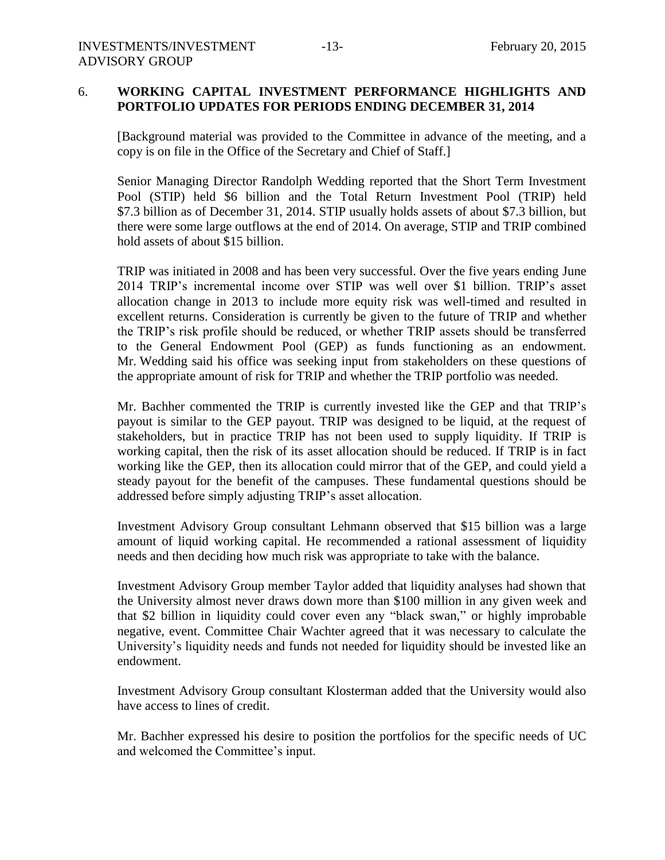## 6. **WORKING CAPITAL INVESTMENT PERFORMANCE HIGHLIGHTS AND PORTFOLIO UPDATES FOR PERIODS ENDING DECEMBER 31, 2014**

[Background material was provided to the Committee in advance of the meeting, and a copy is on file in the Office of the Secretary and Chief of Staff.]

Senior Managing Director Randolph Wedding reported that the Short Term Investment Pool (STIP) held \$6 billion and the Total Return Investment Pool (TRIP) held \$7.3 billion as of December 31, 2014. STIP usually holds assets of about \$7.3 billion, but there were some large outflows at the end of 2014. On average, STIP and TRIP combined hold assets of about \$15 billion.

TRIP was initiated in 2008 and has been very successful. Over the five years ending June 2014 TRIP's incremental income over STIP was well over \$1 billion. TRIP's asset allocation change in 2013 to include more equity risk was well-timed and resulted in excellent returns. Consideration is currently be given to the future of TRIP and whether the TRIP's risk profile should be reduced, or whether TRIP assets should be transferred to the General Endowment Pool (GEP) as funds functioning as an endowment. Mr. Wedding said his office was seeking input from stakeholders on these questions of the appropriate amount of risk for TRIP and whether the TRIP portfolio was needed.

Mr. Bachher commented the TRIP is currently invested like the GEP and that TRIP's payout is similar to the GEP payout. TRIP was designed to be liquid, at the request of stakeholders, but in practice TRIP has not been used to supply liquidity. If TRIP is working capital, then the risk of its asset allocation should be reduced. If TRIP is in fact working like the GEP, then its allocation could mirror that of the GEP, and could yield a steady payout for the benefit of the campuses. These fundamental questions should be addressed before simply adjusting TRIP's asset allocation.

Investment Advisory Group consultant Lehmann observed that \$15 billion was a large amount of liquid working capital. He recommended a rational assessment of liquidity needs and then deciding how much risk was appropriate to take with the balance.

Investment Advisory Group member Taylor added that liquidity analyses had shown that the University almost never draws down more than \$100 million in any given week and that \$2 billion in liquidity could cover even any "black swan," or highly improbable negative, event. Committee Chair Wachter agreed that it was necessary to calculate the University's liquidity needs and funds not needed for liquidity should be invested like an endowment.

Investment Advisory Group consultant Klosterman added that the University would also have access to lines of credit.

Mr. Bachher expressed his desire to position the portfolios for the specific needs of UC and welcomed the Committee's input.